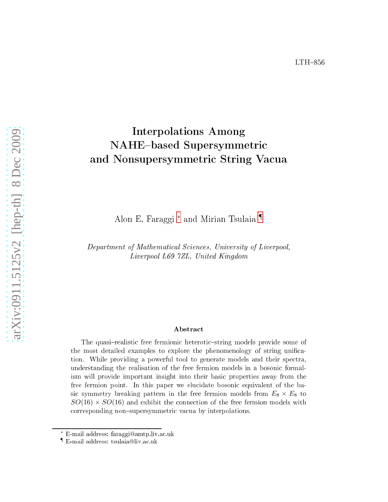$LTH-856$ 

# Interpolations Among NAHE-based Supersymmetric and Nonsupersymmetric String Vacua

Alon E. Faraggi [∗](#page-0-0) and Mirian Tsulaia [¶](#page-0-1)

Department of Mathematical Sciences, University of Liverpool, Liverpool L69 7ZL, United Kingdom

#### Abstra
t

The quasi-realistic free fermionic heterotic-string models provide some of the most detailed examples to explore the phenomenology of string uni
ation. While providing <sup>a</sup> powerful tool to generate models and their spe
tra, understanding the realisation of the free fermion models in <sup>a</sup> bosoni formalism will provide important insight into their basic properties away from the free fermion point. In this paper we elucidate bosonic equivalent of the basic symmetry breaking pattern in the free fermion models from  $E_8 \times E_8$  to  $SO(16) \times SO(16)$  and exhibit the connection of the free fermion models with corresponding non-supersymmetric vacua by interpolations.

<sup>\*</sup> E-mail address: faraggi@amtp.liv.ac.uk

<span id="page-0-1"></span><span id="page-0-0"></span><sup>&</sup>lt;sup>1</sup> E-mail address: tsulaia@liv.ac.uk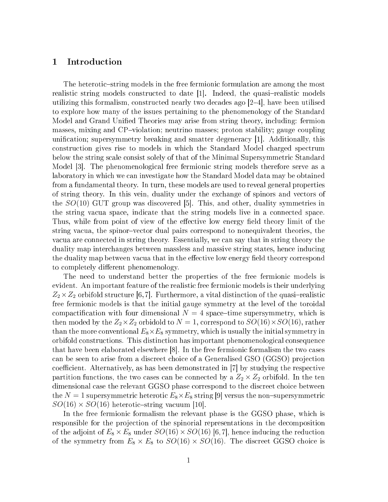## 1 Introdu
tion

The heterotic-string models in the free fermionic formulation are among the most realistic string models constructed to date  $[1]$ . Indeed, the quasi-realistic models utilizing this formalism, constructed nearly two decades ago  $[2-4]$ , have been utilised to explore how many of the issues pertaining to the phenomenology of the Standard Model and Grand Unified Theories may arise from string theory, including: fermion masses, mixing and CP-violation; neutrino masses; proton stability; gauge coupling unification; supersymmetry breaking and smatter degeneracy [1]. Additionally, this onstru
tion gives rise to models in whi
h the Standard Model harged spe
trum below the string s
ale onsist solely of that of the Minimal Supersymmetri Standard Model [3]. The phenomenological free fermionic string models therefore serve as a laboratory in whi
h we an investigate how the Standard Model data may be obtained from a fundamental theory. In turn, these models are used to reveal general properties of string theory. In this vein, duality under the ex
hange of spinors and ve
tors of the  $SO(10)$  GUT group was discovered [5]. This, and other, duality symmetries in the string vacua space, indicate that the string models live in a connected space. Thus, while from point of view of the effective low energy field theory limit of the string vacua, the spinor-vector dual pairs correspond to nonequivalent theories, the vacua are connected in string theory. Essentially, we can say that in string theory the duality map interchanges between massless and massive string states, hence inducing the duality map between vacua that in the effective low energy field theory correspond to completely different phenomenology.

The need to understand better the properties of the free fermioni models is evident. An important feature of the realistic free fermionic models is their underlying  $Z_2 \times Z_2$  orbifold structure [6,7]. Furthermore, a vital distinction of the quasi-realistic free fermioni models is that the initial gauge symmetry at the level of the toroidal compactification with four dimensional  $N = 4$  space-time supersymmetry, which is then moded by the  $Z_2 \times Z_2$  orbidold to  $N = 1$ , correspond to  $SO(16) \times SO(16)$ , rather than the more conventional  $E_8\times E_8$  symmetry, which is usually the initial symmetry in orbifold onstru
tions. This distin
tion has important phenomenologi
al onsequen
e that have been elaborated elsewhere  $\vert 8 \vert$ . In the free fermionic formalism the two cases an be seen to arise from a dis
reet hoi
e of a Generalised GSO (GGSO) proje
tion coefficient. Alternatively, as has been demonstrated in [7] by studying the respective partition functions, the two cases can be connected by a  $Z_2 \times Z_2$  orbifold. In the ten dimensional case the relevant GGSO phase correspond to the discreet choice between the  $N=1$  supersymmetric heterotic  $E_8\times E_8$  string [9] versus the non-supersymmetric  $SO(16) \times SO(16)$  heterotic-string vacuum [10].

In the free fermionic formalism the relevant phase is the GGSO phase, which is responsible for the proje
tion of the spinorial representations in the de
omposition of the adjoint of  $E_8 \times E_8$  under  $SO(16) \times SO(16)$  [6,7], hence inducing the reduction of the symmetry from  $E_8 \times E_8$  to  $SO(16) \times SO(16)$ . The discreet GGSO choice is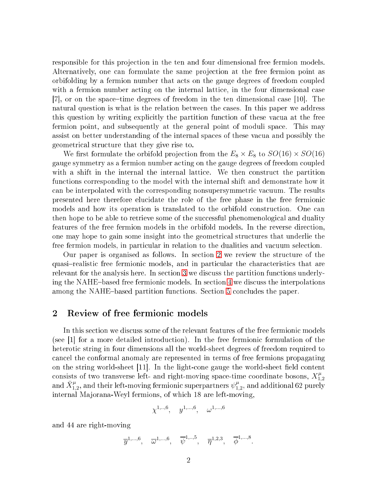responsible for this proje
tion in the ten and four dimensional free fermion models. Alternatively, one an formulate the same proje
tion at the free fermion point as orbifolding by a fermion number that a
ts on the gauge degrees of freedom oupled with a fermion number acting on the internal lattice, in the four dimensional case  $|7|$ , or on the space-time degrees of freedom in the ten dimensional case  $|10|$ . The natural question is what is the relation between the ases. In this paper we address this question by writing explicitly the partition function of these vacua at the free fermion point, and subsequently at the general point of moduli spa
e. This may assist on better understanding of the internal spa
es of these va
ua and possibly the geometri
al stru
ture that they give rise to.

We first formulate the orbifold projection from the  $E_8 \times E_8$  to  $SO(16) \times SO(16)$ gauge symmetry as a fermion number a
ting on the gauge degrees of freedom oupled with a shift in the internal the internal lattice. We then construct the partition fun
tions orresponding to the model with the internal shift and demonstrate how it an be interpolated with the orresponding nonsupersymmetri va
uum. The results presented here therefore elu
idate the role of the free phase in the free fermioni models and how its operation is translated to the orbifold construction. One can then hope to be able to retrieve some of the successful phenomenological and duality features of the free fermion models in the orbifold models. In the reverse dire
tion, one may hope to gain some insight into the geometrical structures that underlie the free fermion models, in particular in relation to the dualities and vacuum selection.

Our paper is organised as follows. In section [2](#page-2-0) we review the structure of the quasi-realistic free fermionic models, and in particular the characteristics that are relevant for the analysis here. In section [3](#page-5-0) we discuss the partition functions underly-ing the NAHE-based free fermionic models. In section [4](#page-9-0) we discuss the interpolations among the NAHE-based partition functions. Section [5](#page-12-0) concludes the paper.

#### <span id="page-2-0"></span>2 Review of free fermionic models

In this section we discuss some of the relevant features of the free fermionic models  $\left($ see  $\left|1\right|$  for a more detailed introduction). In the free fermionic formulation of the heterotic string in four dimensions all the world-sheet degrees of freedom required to an
el the onformal anomaly are represented in terms of free fermions propagating on the string world-sheet  $[11]$ . In the light-cone gauge the world-sheet field content consists of two transverse left- and right-moving space-time coordinate bosons,  $X_{1}^{\mu}$ 1,2 and  $\bar{X}_{1,2}^\mu,$  and their left-moving fermionic superpartners  $\psi_{1,2}^\mu$  $_{1,2}$ , and additional 02 purely internal Ma jorana-Weyl fermions, of whi
h 18 are left-moving,

$$
\chi^{1,..,6}, \quad y^{1,...,6}, \quad \omega^{1,...,6}
$$

and 44 are right-moving

$$
\overline{y}^{1,...,6}
$$
,  $\overline{\omega}^{1,...,6}$ ,  $\overline{\psi}^{1,...,5}$ ,  $\overline{\eta}^{1,2,3}$ ,  $\overline{\phi}^{1,...,8}$ .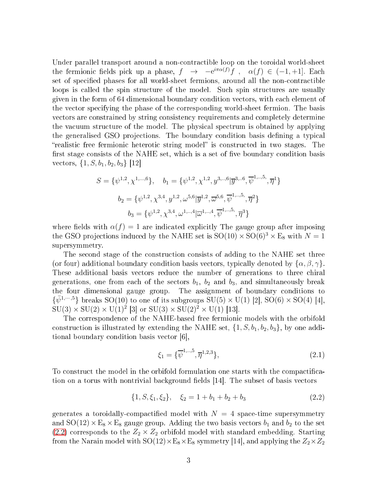Under parallel transport around a non-contractible loop on the toroidal world-sheet the fermionic fields pick up a phase,  $f \rightarrow -e^{i\pi \alpha(f)}f$ ,  $\alpha(f) \in (-1, +1]$ . Each set of specified phases for all world-sheet fermions, around all the non-contractible loops is called the spin structure of the model. Such spin structures are usually given in the form of 64 dimensional boundary ondition ve
tors, with ea
h element of the ve
tor spe
ifying the phase of the orresponding world-sheet fermion. The basis vectors are constrained by string consistency requirements and completely determine the vacuum structure of the model. The physical spectrum is obtained by applying the generalised GSO projections. The boundary condition basis defining a typical "realistic free fermionic heterotic string model" is constructed in two stages. The first stage consists of the NAHE set, which is a set of five boundary condition basis vectors,  $\{1, S, b_1, b_2, b_3\}$  [12]

$$
S = \{\psi^{1,2}, \chi^{1,...,6}\}, \quad b_1 = \{\psi^{1,2}, \chi^{1,2}, y^{3,..,6} | \overline{y}^{3,..6}, \overline{\psi}^{1,..,5}, \overline{\eta}^1\}
$$

$$
b_2 = \{\psi^{1,2}, \chi^{3,4}, y^{1,2}, \omega^{5,6} | \overline{y}^{1,2}, \overline{\omega}^{5,6}, \overline{\psi}^{1,..,5}, \overline{\eta}^2\}
$$

$$
b_3 = \{\psi^{1,2}, \chi^{3,4}, \omega^{1,..,4} | \overline{\omega}^{1,..,4}, \overline{\psi}^{1,..,5}, \overline{\eta}^3\}
$$

where fields with  $\alpha(f) = 1$  are indicated explicitly The gauge group after imposing the GSO projections induced by the NAHE set is  $SO(10) \times SO(6)^3 \times E_8$  with  $N = 1$ supersymmetry.

The second stage of the construction consists of adding to the NAHE set three (or four) additional boundary condition basis vectors, typically denoted by  $\{\alpha, \beta, \gamma\}$ . These additional basis vectors reduce the number of generations to three chiral generations, one from each of the sectors  $b_1$ ,  $b_2$  and  $b_3$ , and simultaneously break the four dimensional gauge group. The assignment of boundary conditions to  $\{\bar{\psi}^{1,\dots,5}\}\$  breaks SO(10) to one of its subgroups SU(5)  $\times$  U(1) [2], SO(6)  $\times$  SO(4) [4],  $SU(3) \times SU(2) \times U(1)^2$  [3] or  $SU(3) \times SU(2)^2 \times U(1)$  [13].

The orresponden
e of the NAHE-based free fermioni models with the orbifold construction is illustrated by extending the NAHE set,  $\{1, S, b_1, b_2, b_3\}$ , by one additional boundary condition basis vector [6]

<span id="page-3-1"></span>
$$
\xi_1 = \{\overline{\psi}^{1,\dots,5}, \overline{\eta}^{1,2,3}\},\tag{2.1}
$$

To construct the model in the orbifold formulation one starts with the compactification on a torus with nontrivial background fields [14]. The subset of basis vectors

<span id="page-3-0"></span>
$$
\{1, S, \xi_1, \xi_2\}, \quad \xi_2 = 1 + b_1 + b_2 + b_3 \tag{2.2}
$$

generates a toroidally-compactified model with  $N = 4$  space-time supersymmetry and  $SO(12) \times E_8 \times E_8$  gauge group. Adding the two basis vectors  $b_1$  and  $b_2$  to the set [\(2.2\)](#page-3-0) corresponds to the  $Z_2 \times Z_2$  orbifold model with standard embedding. Starting from the Narain model with  $SO(12)\times E_8\times E_8$  symmetry [14], and applying the  $Z_2\times Z_2$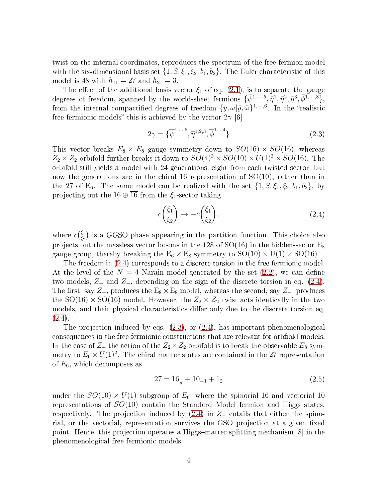twist on the internal oordinates, reprodu
es the spe
trum of the free-fermion model with the six-dimensional basis set  $\{1, S, \xi_1, \xi_2, b_1, b_2\}$ . The Euler characteristic of this model is 48 with  $h_{11} = 27$  and  $h_{21} = 3$ .

The effect of the additional basis vector  $\xi_1$  of eq. [\(2.1\)](#page-3-1), is to separate the gauge degrees of freedom, spanned by the world-sheet fermions  $\{\bar{\psi}^{1,\cdots,5}, \bar{\eta}^1, \bar{\eta}^2, \bar{\eta}^3, \bar{\phi}^{1,\cdots,8}\},$ from the internal compactified degrees of freedom  $\{y,\omega|\bar{y},\bar{\omega}\}^{1,\cdots,6}$ . In the "realistic free fermionic models" this is achieved by the vector  $2\gamma$  [6]

<span id="page-4-1"></span>
$$
2\gamma = {\overline{\psi}}^{1,...,5}, \overline{\eta}^{1,2,3}, {\overline{\phi}}^{1...,4} \}
$$
 (2.3)

This vector breaks  $E_8 \times E_8$  gauge symmetry down to  $SO(16) \times SO(16)$ , whereas  $Z_2 \times Z_2$  orbifold further breaks it down to  $SO(4)^3 \times SO(10) \times U(1)^3 \times SO(16)$ . The orbifold still yields a model with 24 generations, eight from each twisted sector, but now the generations are in the chiral 16 representation of  $SO(10)$ , rather than in the 27 of  $E_6$ . The same model can be realized with the set  $\{1, S, \xi_1, \xi_2, b_1, b_2\}$ , by projecting out the  $16 \oplus \overline{16}$  from the  $\xi_1$ -sector taking

<span id="page-4-0"></span>
$$
c\binom{\xi_1}{\xi_2} \to -c\binom{\xi_1}{\xi_2},\tag{2.4}
$$

where  $c\binom{\xi_1}{\xi_2}$  $\binom{\xi_1}{\xi_2}$  is a GGSO phase appearing in the partition function. This choice also projects out the massless vector bosons in the 128 of  $SO(16)$  in the hidden-sector  $E_8$ gauge group, thereby breaking the  $E_6 \times E_8$  symmetry to  $SO(10) \times U(1) \times SO(16)$ .

The freedom in  $(2.4)$  corresponds to a discrete torsion in the free fermionic model. At the level of the  $N = 4$  Narain model generated by the set  $(2.2)$ , we can define two models,  $Z_+$  and  $Z_-$ , depending on the sign of the discrete torsion in eq. [\(2.4\)](#page-4-0). The first, say  $Z_+$ , produces the  $E_8 \times E_8$  model, whereas the second, say  $Z_-,$  produces the  $SO(16) \times SO(16)$  model. However, the  $Z_2 \times Z_2$  twist acts identically in the two models, and their physical characteristics differ only due to the discrete torsion eq. [\(2.4\)](#page-4-0).

The projection induced by eqs.  $(2.3)$ , or  $(2.4)$ , has important phenomenological consequences in the free fermionic constructions that are relevant for orbfiold models. In the case of  $Z_+$  the action of the  $Z_2 \times Z_2$  orbifold is to break the observable  $E_8$  symmetry to  $E_6 \times U(1)^2$ . The chiral matter states are contained in the 27 representation of  $E_6$ , which decomposes as

$$
27 = 16_{\frac{1}{2}} + 10_{-1} + 1_2 \tag{2.5}
$$

under the  $SO(10) \times U(1)$  subgroup of  $E_6$ , where the spinorial 16 and vectorial 10 representations of  $SO(10)$  contain the Standard Model fermion and Higgs states, respectively. The projection induced by  $(2.4)$  in  $Z_$  entails that either the spinorial, or the vectorial, representation survives the GSO projection at a given fixed point. Hence, this projection operates a Higgs-matter splitting mechanism [8] in the phenomenologi
al free fermioni models.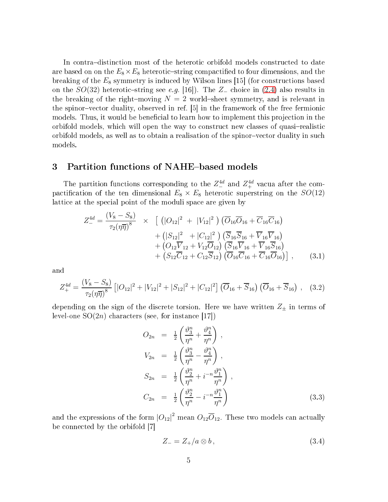In contra-distinction most of the heterotic orbifold models constructed to date are based on on the  $E_8 \times E_8$  heterotic-string compactified to four dimensions, and the breaking of the  $E_8$  symmetry is induced by Wilson lines [15] (for constructions based on the  $SO(32)$  heterotic-string see e.g. [16]). The  $Z_-\$  choice in [\(2.4\)](#page-4-0) also results in the breaking of the right-moving  $N = 2$  world-sheet symmetry, and is relevant in the spinor-vector duality, observed in ref. [5] in the framework of the free fermionic models. Thus, it would be beneficial to learn how to implement this projection in the orbifold models, which will open the way to construct new classes of quasi-realistic orbifold models, as well as to obtain a realisation of the spinor-vector duality in such models.

#### <span id="page-5-0"></span>3 Partition functions of NAHE-based models

The partition functions corresponding to the  $Z_{-}^{4d}$  and  $Z_{+}^{4d}$  vacua after the compactification of the ten dimensional  $E_8 \times E_8$  heterotic superstring on the  $SO(12)$ lattice at the special point of the moduli space are given by

<span id="page-5-3"></span>
$$
Z_{-}^{4d} = \frac{(V_8 - S_8)}{\tau_2(\eta \overline{\eta})^8} \times \left[ \left( |O_{12}|^2 + |V_{12}|^2 \right) \left( \overline{O}_{16} \overline{O}_{16} + \overline{C}_{16} \overline{C}_{16} \right) \right. \\ \left. + \left( |S_{12}|^2 + |C_{12}|^2 \right) \left( \overline{S}_{16} \overline{S}_{16} + \overline{V}_{16} \overline{V}_{16} \right) \right. \\ \left. + \left( O_{12} \overline{V}_{12} + V_{12} \overline{O}_{12} \right) \left( \overline{S}_{16} \overline{V}_{16} + \overline{V}_{16} \overline{S}_{16} \right) \right. \\ \left. + \left( S_{12} \overline{C}_{12} + C_{12} \overline{S}_{12} \right) \left( \overline{O}_{16} \overline{C}_{16} + \overline{C}_{16} \overline{O}_{16} \right) \right], \qquad (3.1)
$$

and

<span id="page-5-2"></span>
$$
Z_{+}^{4d} = \frac{(V_8 - S_8)}{\tau_2(\eta\overline{\eta})^8} \left[ |O_{12}|^2 + |V_{12}|^2 + |S_{12}|^2 + |C_{12}|^2 \right] \left( \overline{O}_{16} + \overline{S}_{16} \right) \left( \overline{O}_{16} + \overline{S}_{16} \right) , \quad (3.2)
$$

depending on the sign of the discrete torsion. Here we have written  $Z_{\pm}$  in terms of level-one  $SO(2n)$  characters (see, for instance [17])

<span id="page-5-4"></span>
$$
O_{2n} = \frac{1}{2} \left( \frac{\vartheta_3^n}{\eta^n} + \frac{\vartheta_4^n}{\eta^n} \right),
$$
  
\n
$$
V_{2n} = \frac{1}{2} \left( \frac{\vartheta_3^n}{\eta^n} - \frac{\vartheta_4^n}{\eta^n} \right),
$$
  
\n
$$
S_{2n} = \frac{1}{2} \left( \frac{\vartheta_2^n}{\eta^n} + i^{-n} \frac{\vartheta_1^n}{\eta^n} \right),
$$
  
\n
$$
C_{2n} = \frac{1}{2} \left( \frac{\vartheta_2^n}{\eta^n} - i^{-n} \frac{\vartheta_1^n}{\eta^n} \right)
$$
\n(3.3)

and the expressions of the form  $|O_{12}|^2$  mean  $O_{12}\overline{O}_{12}$ . These two models can actually be connected by the orbifold [7]

<span id="page-5-1"></span>
$$
Z_{-} = Z_{+}/a \otimes b, \qquad (3.4)
$$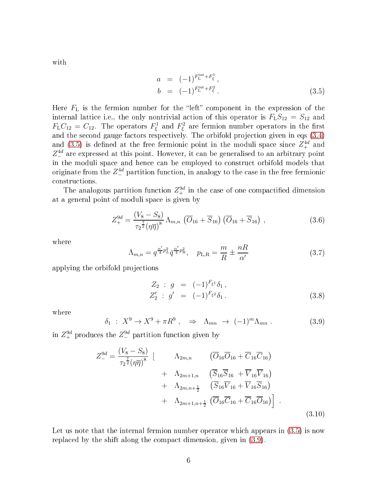with

<span id="page-6-0"></span>
$$
a = (-1)^{F_{\rm L}^{\rm int} + F_{\xi}^1}, b = (-1)^{F_{\rm L}^{\rm int} + F_{\xi}^2}.
$$
 (3.5)

Here  $F<sub>L</sub>$  is the fermion number for the "left" component in the expression of the internal lattice i.e., the only nontrivial action of this operator is  $F_{L}S_{12} = S_{12}$  and  $F_{\rm L}C_{12} = C_{12}$ . The operators  $F_{\xi}^1$  and  $F_{\xi}^2$  are fermion number operators in the first and the se
ond gauge fa
tors respe
tively. The orbifold proje
tion given in eqs [\(3.4\)](#page-5-1) and [\(3.5\)](#page-6-0) is defined at the free fermionic point in the moduli space since  $Z^{4d}_+$  and  $Z_{-}^{4d}$  are expressed at this point. However, it can be generalised to an arbitrary point in the moduli space and hence can be employed to construct orbifold models that originate from the  $Z_{-}^{4d}$  partition function, in analogy to the case in the free fermionic onstru
tions.

The analogous partition function  $Z_{+}^{9d}$  in the case of one compactified dimension at a general point of moduli spa
e is given by

<span id="page-6-2"></span>
$$
Z_{+}^{9d} = \frac{(V_8 - S_8)}{\tau_2^{\frac{7}{2}} (\eta \overline{\eta})^8} \Lambda_{m,n} \left( \overline{O}_{16} + \overline{S}_{16} \right) \left( \overline{O}_{16} + \overline{S}_{16} \right) , \qquad (3.6)
$$

where

$$
\Lambda_{m,n} = q^{\frac{\alpha'}{4}p_L^2} \bar{q}^{\frac{\alpha'}{4}p_R^2}, \quad p_{\text{L,R}} = \frac{m}{R} \pm \frac{nR}{\alpha'}
$$
\n
$$
(3.7)
$$

applying the orbifold proje
tions

<span id="page-6-4"></span>
$$
Z_2 : g = (-1)^{F_{\xi^1}} \delta_1 ,
$$
  
\n
$$
Z'_2 : g' = (-1)^{F_{\xi^2}} \delta_1 .
$$
\n(3.8)

where

<span id="page-6-1"></span>
$$
\delta_1: X^9 \to X^9 + \pi R^9 , \Rightarrow \Lambda_{mn} \to (-1)^m \Lambda_{mn} . \tag{3.9}
$$

in  $Z^{9d}_+$  produces the  $Z^{9d}_-$  partition function given by

<span id="page-6-3"></span>
$$
Z_{-}^{9d} = \frac{(V_8 - S_8)}{\tau_2^2 (\eta \overline{\eta})^8} \left[ \n\Lambda_{2m,n} \n\left( \overline{O}_{16} \overline{O}_{16} + \overline{C}_{16} \overline{C}_{16} \right) \n+ \Lambda_{2m+1,n} \n\left( \overline{S}_{16} \overline{S}_{16} + \overline{V}_{16} \overline{V}_{16} \right) \n+ \Lambda_{2m,n+\frac{1}{2}} \n\left( \overline{S}_{16} \overline{V}_{16} + \overline{V}_{16} \overline{S}_{16} \right) \n+ \Lambda_{2m+1,n+\frac{1}{2}} \n\left( \overline{O}_{16} \overline{C}_{16} + \overline{C}_{16} \overline{O}_{16} \right) \n\right] .
$$
\n(3.10)

Let us note that the internal fermion number operator which appears in  $(3.5)$  is now repla
ed by the shift along the ompa
t dimension, given in [\(3.9\)](#page-6-1).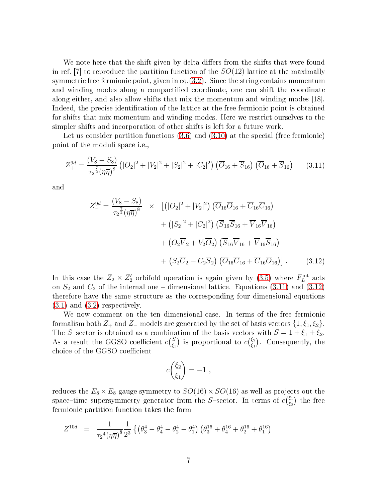We note here that the shift given by delta differs from the shifts that were found in ref.  $|7|$  to reproduce the partition function of the  $SO(12)$  lattice at the maximally symmetric free fermionic point, given in eq.  $(3.2)$ . Since the string contains momentum and winding modes along a compactified coordinate, one can shift the coordinate along either, and also allow shifts that mix the momentum and winding modes [18]. Indeed, the precise identification of the lattice at the free fermionic point is obtained for shifts that mix momentum and winding modes. Here we restri
t ourselves to the simpler shifts and in
orporation of other shifts is left for a future work.

Let us consider partition functions  $(3.6)$  and  $(3.10)$  at the special (free fermionic) point of the moduli spa
e i.e.,

<span id="page-7-0"></span>
$$
Z_{+}^{9d} = \frac{(V_8 - S_8)}{\tau_2^{\frac{7}{2}}(\eta\overline{\eta})^8} \left( |O_2|^2 + |V_2|^2 + |S_2|^2 + |C_2|^2 \right) \left( \overline{O}_{16} + \overline{S}_{16} \right) \left( \overline{O}_{16} + \overline{S}_{16} \right) \tag{3.11}
$$

and

<span id="page-7-1"></span>
$$
Z_{-}^{9d} = \frac{(V_8 - S_8)}{\tau_2^2 (\eta \overline{\eta})^8} \times \left[ \left( |O_2|^2 + |V_2|^2 \right) \left( \overline{O}_{16} \overline{O}_{16} + \overline{C}_{16} \overline{C}_{16} \right) \right. \\
\left. + \left( |S_2|^2 + |C_2|^2 \right) \left( \overline{S}_{16} \overline{S}_{16} + \overline{V}_{16} \overline{V}_{16} \right) \\
\left. + \left( O_2 \overline{V}_2 + V_2 \overline{O}_2 \right) \left( \overline{S}_{16} \overline{V}_{16} + \overline{V}_{16} \overline{S}_{16} \right) \right. \\
\left. + \left( S_2 \overline{C}_2 + C_2 \overline{S}_2 \right) \left( \overline{O}_{16} \overline{C}_{16} + \overline{C}_{16} \overline{O}_{16} \right) \right]. \tag{3.12}
$$

In this case the  $Z_2 \times Z'_2$  orbifold operation is again given by [\(3.5\)](#page-6-0) where  $F_L^{\text{int}}$  acts on  $S_2$  and  $C_2$  of the internal one – dimensional lattice. Equations [\(3.11\)](#page-7-0) and [\(3.12\)](#page-7-1) therefore have the same stru
ture as the orresponding four dimensional equations  $(3.1)$  and  $(3.2)$  respectively.

We now comment on the ten dimensional case. In terms of the free fermionic formalism both  $Z_+$  and  $Z_-$  models are generated by the set of basis vectors  $\{1, \xi_1, \xi_2\}$ . The S-sector is obtained as a combination of the basis vectors with  $S = 1 + \xi_1 + \xi_2$ . As a result the GGSO coefficient  $c\binom{S}{\epsilon}$  $\binom{S}{\xi_1}$  is proportional to  $c\binom{\xi_2}{\xi_1}$  $\binom{\xi_2}{\xi_1}$ . Consequently, the choice of the GGSO coefficient

$$
c\binom{\xi_2}{\xi_1} = -1 \ ,
$$

reduces the  $E_8 \times E_8$  gauge symmetry to  $SO(16) \times SO(16)$  as well as projects out the space–time supersymmetry generator from the S-sector. In terms of  $c_{\xi_2}^{(\xi_1)}$  $\binom{\xi_1}{\xi_2}$  the free fermionic partition function takes the form

<span id="page-7-2"></span>
$$
Z^{10d} = \frac{1}{\tau_2^4 (\eta \overline{\eta})^8} \frac{1}{2^3} \left\{ \left( \theta_3^4 - \theta_4^4 - \theta_2^4 - \theta_1^4 \right) \left( \overline{\theta}_3^{16} + \overline{\theta}_4^{16} + \overline{\theta}_2^{16} + \overline{\theta}_1^{16} \right) \right\}
$$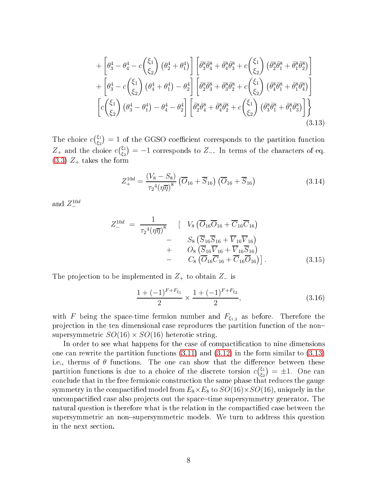$$
+\left[\theta_3^4 - \theta_4^4 - c\left(\frac{\xi_1}{\xi_2}\right)\left(\theta_2^4 + \theta_1^4\right)\right] \left[\bar{\theta}_3^8 \bar{\theta}_4^8 + \bar{\theta}_4^8 \bar{\theta}_3^8 + c\left(\frac{\xi_1}{\xi_2}\right)\left(\bar{\theta}_2^8 \bar{\theta}_1^8 + \bar{\theta}_1^8 \bar{\theta}_2^8\right)\right] + \left[\theta_3^4 - c\left(\frac{\xi_1}{\xi_2}\right)\left(\theta_4^4 + \theta_1^4\right) - \theta_2^4\right] \left[\bar{\theta}_2^8 \bar{\theta}_3^8 + \bar{\theta}_3^8 \bar{\theta}_2^8 + c\left(\frac{\xi_1}{\xi_2}\right)\left(\bar{\theta}_4^8 \bar{\theta}_1^8 + \bar{\theta}_1^8 \bar{\theta}_4^8\right)\right] \left[c\left(\frac{\xi_1}{\xi_2}\right)\left(\theta_3^4 - \theta_1^4\right) - \theta_4^4 - \theta_2^4\right] \left[\bar{\theta}_2^8 \bar{\theta}_4^8 + \bar{\theta}_4^8 \bar{\theta}_2^8 + c\left(\frac{\xi_1}{\xi_2}\right)\left(\bar{\theta}_3^8 \bar{\theta}_1^8 + \bar{\theta}_1^8 \bar{\theta}_3^8\right)\right] \right]
$$
\n(3.13)

The choice  $c\binom{\xi_1}{\xi_2}$  $\binom{\xi_1}{\xi_2} = 1$  of the GGSO coefficient corresponds to the partition function  $Z_+$  and the choice  $c\binom{\xi_1}{\xi_2}$  $\binom{\xi_1}{\xi_2}$  = -1 corresponds to  $Z_-$ . In terms of the characters of eq.  $(3.3)$   $Z_+$  takes the form

<span id="page-8-0"></span>
$$
Z_{+}^{10d} = \frac{(V_8 - S_8)}{\tau_2^4 (\eta \overline{\eta})^8} \left( \overline{O}_{16} + \overline{S}_{16} \right) \left( \overline{O}_{16} + \overline{S}_{16} \right)
$$
(3.14)

and  $Z_{-}^{10d}$ 

<span id="page-8-2"></span>
$$
Z_{-}^{10d} = \frac{1}{\tau_2^4 (\eta \overline{\eta})^8} \qquad [ \qquad V_8 (\overline{O}_{16} \overline{O}_{16} + \overline{C}_{16} \overline{C}_{16}) - \qquad S_8 (\overline{S}_{16} \overline{S}_{16} + \overline{V}_{16} \overline{V}_{16}) + \qquad O_8 (\overline{S}_{16} \overline{V}_{16} + \overline{V}_{16} \overline{S}_{16}) - \qquad C_8 (\overline{O}_{16} \overline{C}_{16} + \overline{C}_{16} \overline{O}_{16}) ]. \qquad (3.15)
$$

The projection to be implemented in  $Z_+$  to obtain  $Z_-$  is

<span id="page-8-1"></span>
$$
\frac{1 + (-1)^{F + F_{\xi_1}}}{2} \times \frac{1 + (-1)^{F + F_{\xi_2}}}{2},
$$
\n(3.16)

with F being the space-time fermion number and  $F_{\xi_{1,2}}$  as before. Therefore the proje
tion in the ten dimensional ase reprodu
es the partition fun
tion of the non supersymmetric  $SO(16) \times SO(16)$  heterotic string.

In order to see what happens for the case of compactification to nine dimensions one can rewrite the partition functions  $(3.11)$  and  $(3.12)$  in the form similar to  $(3.13)$ i.e., therms of  $\theta$  functions. The one can show that the difference between these partition functions is due to a choice of the discrete torsion  $c_{\xi_c}^{(\xi_1)}$  $\binom{\xi_1}{\xi_2} = \pm 1$ . One can conclude that in the free fermionic construction the same phase that reduces the gauge symmetry in the compactified model from  $E_8\times E_8$  to  $SO(16)\times SO(16)$ , uniquely in the uncompactified case also projects out the space-time supersymmetry generator. The natural question is therefore what is the relation in the compactified case between the supersymmetric an non-supersymmetric models. We turn to address this question in the next section.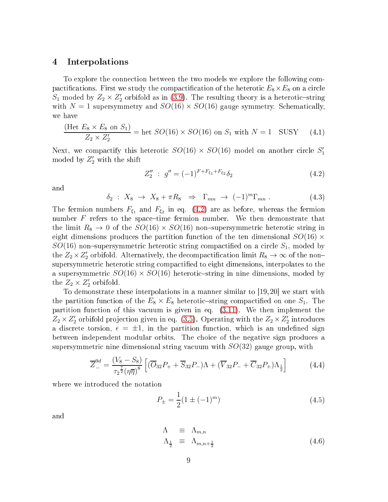#### <span id="page-9-0"></span> $\overline{\mathbf{4}}$ **Interpolations**

To explore the onne
tion between the two models we explore the following ompactifications. First we study the compactification of the heterotic  $E_8 \times E_8$  on a circle  $S_1$  moded by  $Z_2 \times Z_2'$  $_2$  orbifold as in  $(3.5)$ . The resulting theory is a heterotic string with  $N = 1$  supersymmetry and  $SO(16) \times SO(16)$  gauge symmetry. Schematically, we have

$$
\frac{\text{(Het }E_8 \times E_8 \text{ on } S_1)}{Z_2 \times Z_2'} = \text{het } SO(16) \times SO(16) \text{ on } S_1 \text{ with } N = 1 \quad \text{SUSY} \tag{4.1}
$$

Next, we compactify this heterotic  $SO(16) \times SO(16)$  model on another circle  $S'_1$ 1 moded by  $Z_2'$  $2$  with the shift

<span id="page-9-1"></span>
$$
Z_2'' : g'' = (-1)^{F + F_{\xi_1} + F_{\xi_2}} \delta_2 \tag{4.2}
$$

and

$$
\delta_2: X_8 \to X_8 + \pi R_8 \Rightarrow \Gamma_{mn} \to (-1)^m \Gamma_{mn} . \tag{4.3}
$$

The fermion numbers  $F_{\xi_1}$  and  $F_{\xi_2}$  in eq. [\(4.2\)](#page-9-1) are as before, whereas the fermion number  $F$  refers to the space-time fermion number. We then demonstrate that the limit  $R_8 \to 0$  of the  $SO(16) \times SO(16)$  non-supersymmetric heterotic string in eight dimensions produces the partition function of the ten dimensional  $SO(16)$  ×  $SO(16)$  non-supersymmetric heterotic string compactified on a circle  $S_1$ , moded by the  $Z_2 \times Z_2'$  orbifold. Alternatively, the decompactification limit  $R_8 \to \infty$  of the nonsupersymmetric heterotic string compactified to eight dimensions, interpolates to the a supersymmetric  $SO(16) \times SO(16)$  heterotic-string in nine dimensions, moded by the  $Z_2 \times Z'_2$  $2$  orbifold.

To demonstrate these interpolations in a manner similar to  $[19, 20]$  we start with the partition function of the  $E_8 \times E_8$  heterotic-string compactified on one  $S_1$ . The partition function of this vacuum is given in eq. [\(3.11\)](#page-7-0). We then implement the  $Z_2 \times Z'_2$  orbifold projection given in eq. [\(3.5\)](#page-6-0). Operating with the  $Z_2 \times Z'_2$  $_2$  muoduces a discrete torsion,  $\epsilon = \pm 1$ , in the partition function, which is an undefined sign between independent modular orbits. The hoi
e of the negative sign produ
es a supersymmetric nine dimensional string vacuum with  $SO(32)$  gauge group, with

$$
\overline{Z}_{-}^{9d} = \frac{(V_8 - S_8)}{\tau_2^{\frac{7}{2}} (\eta \overline{\eta})^8} \left[ (\overline{O}_{32} P_+ + \overline{S}_{32} P_-) \Lambda + (\overline{V}_{32} P_- + \overline{C}_{32} P_+) \Lambda_{\frac{1}{2}} \right]
$$
(4.4)

where we introdu
ed the notation

$$
P_{\pm} = \frac{1}{2} (1 \pm (-1)^m) \tag{4.5}
$$

and

$$
\Lambda \equiv \Lambda_{m,n} \n\Lambda_{\frac{1}{2}} \equiv \Lambda_{m,n+\frac{1}{2}}
$$
\n(4.6)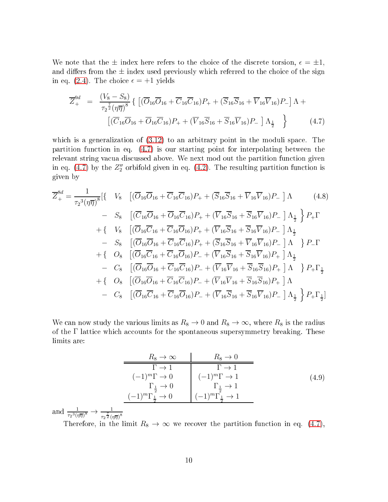We note that the  $\pm$  index here refers to the choice of the discrete torsion,  $\epsilon = \pm 1$ , and differs from the  $\pm$  index used previously which referred to the choice of the sign in eq. [\(2.4\)](#page-4-0). The choice  $\epsilon = +1$  yields

<span id="page-10-0"></span>
$$
\overline{Z}_{+}^{9d} = \frac{(V_8 - S_8)}{\tau_2^{\frac{7}{2}}(\eta \overline{\eta})^8} \left\{ \left[ (\overline{O}_{16}\overline{O}_{16} + \overline{C}_{16}\overline{C}_{16})P_+ + (\overline{S}_{16}\overline{S}_{16} + \overline{V}_{16}\overline{V}_{16})P_- \right] \Lambda + \left[ (\overline{C}_{16}\overline{O}_{16} + \overline{O}_{16}\overline{C}_{16})P_+ + (\overline{V}_{16}\overline{S}_{16} + \overline{S}_{16}\overline{V}_{16})P_- \right] \Lambda_{\frac{1}{2}} \right\} \tag{4.7}
$$

which is a generalization of  $(3.12)$  to an arbitrary point in the moduli space. The partition fun
tion in eq. [\(4.7\)](#page-10-0) is our starting point for interpolating between the relevant string vacua discussed above. We next mod out the partition function given in eq. [\(4.7\)](#page-10-0) by the  $Z_2''$  $_2$  orbifold given in eq.  $(*.2)$ . The resulting partition function is given by

<span id="page-10-1"></span>
$$
\overline{Z}_{+}^{8d} = \frac{1}{\tau_{2}^{3}(\eta\overline{\eta})^{8}} \left[ \left\{ \begin{array}{cc} V_{8} & \left[ (\overline{O}_{16}\overline{O}_{16} + \overline{C}_{16}\overline{C}_{16})P_{+} + (\overline{S}_{16}\overline{S}_{16} + \overline{V}_{16}\overline{V}_{16})P_{-} \right] \Lambda \right. & (4.8) \\ & - S_{8} & \left[ (\overline{C}_{16}\overline{O}_{16} + \overline{O}_{16}\overline{C}_{16})P_{+} + (\overline{V}_{16}\overline{S}_{16} + \overline{S}_{16}\overline{V}_{16})P_{-} \right] \Lambda_{\frac{1}{2}} \right\} P_{+} \Gamma \\ & + \left\{ V_{8} & \left[ (\overline{O}_{16}\overline{C}_{16} + \overline{C}_{16}\overline{O}_{16})P_{+} + (\overline{V}_{16}\overline{S}_{16} + \overline{S}_{16}\overline{V}_{16})P_{-} \right] \Lambda_{\frac{1}{2}} \\ & - S_{8} & \left[ (\overline{O}_{16}\overline{O}_{16} + \overline{C}_{16}\overline{C}_{16})P_{+} + (\overline{S}_{16}\overline{S}_{16} + \overline{V}_{16}\overline{V}_{16})P_{-} \right] \Lambda \right\} P_{-} \Gamma \\ & + \left\{ O_{8} & \left[ (\overline{O}_{16}\overline{C}_{16} + \overline{C}_{16}\overline{O}_{16})P_{-} + (\overline{V}_{16}\overline{S}_{16} + \overline{S}_{16}\overline{V}_{16})P_{+} \right] \Lambda_{\frac{1}{2}} \\ & - C_{8} & \left[ (\overline{O}_{16}\overline{O}_{16} + \overline{C}_{16}\overline{C}_{16})P_{-} + (\overline{V}_{16}\overline{V}_{16} + \overline{S}_{16}\overline{S}_{16})P_{+} \right] \Lambda \right\} P_{+} \Gamma_{\frac{1}{2}} + \left\{ O_{8} & \left[ (\overline{O}_{16}\overline{O}_{16} + \overline{C}_{16}\overline{C}_{16})P_{-} + (\overline{V}_{16}\over
$$

We can now study the various limits as  $R_8 \to 0$  and  $R_8 \to \infty$ , where  $R_8$  is the radius of the  $\Gamma$  lattice which accounts for the spontaneous supersymmetry breaking. These limits are:

| $R_8 \rightarrow \infty$             | $R_8 \rightarrow 0$                  |       |
|--------------------------------------|--------------------------------------|-------|
| $\Gamma \rightarrow 1$               | $\Gamma \rightarrow 1$               |       |
| $(-1)^m\Gamma \to 0$                 | $(-1)^m\Gamma \rightarrow 1$         | (4.9) |
| $\Gamma_{\frac{1}{2}} \rightarrow 0$ | $\Gamma_{\frac{1}{2}} \rightarrow 1$ |       |
| $(-1)^m\Gamma_1 \rightarrow 0$       | $(-1)^m\Gamma_{\frac{1}{2}} \to 1$   |       |

and  $\frac{1}{\tau_2^3(\eta\overline{\eta})^8} \to \frac{1}{\tau_2^{\frac{7}{2}}(\eta\overline{\eta})^8}$ 

Therefore, in the limit  $R_8 \to \infty$  we recover the partition function in eq. [\(4.7\)](#page-10-0),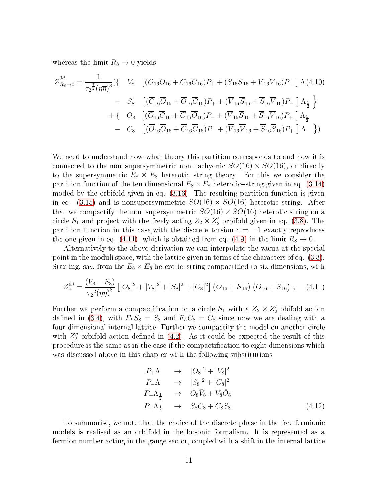whereas the limit  $R_8 \rightarrow 0$  yields

<span id="page-11-0"></span>
$$
\overline{Z}_{R_8 \to 0}^{9d} = \frac{1}{\tau_2^2 (\eta \overline{\eta})^8} \left( \left\{ \begin{array}{cc} V_8 & \left[ (\overline{O}_{16} \overline{O}_{16} + \overline{C}_{16} \overline{C}_{16}) P_+ + (\overline{S}_{16} \overline{S}_{16} + \overline{V}_{16} \overline{V}_{16}) P_- \right] \Lambda (4.10) \right. \\ & \left. - S_8 & \left[ (\overline{C}_{16} \overline{O}_{16} + \overline{O}_{16} \overline{C}_{16}) P_+ + (\overline{V}_{16} \overline{S}_{16} + \overline{S}_{16} \overline{V}_{16}) P_- \right] \Lambda_{\frac{1}{2}} \right\} \\ & \left. + \left\{ \begin{array}{cc} O_8 & \left[ (\overline{O}_{16} \overline{C}_{16} + \overline{C}_{16} \overline{O}_{16}) P_- + (\overline{V}_{16} \overline{S}_{16} + \overline{S}_{16} \overline{V}_{16}) P_+ \right] \Lambda_{\frac{1}{2}} \\ & \left. - C_8 & \left[ (\overline{O}_{16} \overline{O}_{16} + \overline{C}_{16} \overline{C}_{16}) P_- + (\overline{V}_{16} \overline{V}_{16} + \overline{S}_{16} \overline{S}_{16}) P_+ \right] \Lambda \right. \end{array} \right\} \right)
$$

We need to understand now what theory this partition corresponds to and how it is connected to the non-supersymmetric non-tachyonic  $SO(16) \times SO(16)$ , or directly to the supersymmetric  $E_8 \times E_8$  heterotic-string theory. For this we consider the partition function of the ten dimensional  $E_8 \times E_8$  heterotic-string given in eq. [\(3.14\)](#page-8-0) moded by the orbifold given in eq.  $(3.16)$ . The resulting partition function is given in eq.  $(3.15)$  and is nonsupersymmetric  $SO(16) \times SO(16)$  heterotic string. After that we compactify the non-supersymmetric  $SO(16) \times SO(16)$  heterotic string on a circle  $S_1$  and project with the freely acting  $Z_2 \times Z'_2$  $_2$  orbifold given in eq. (5.8). The partition function in this case, with the discrete torsion  $\epsilon = -1$  exactly reproduces the one given in eq. [\(4.11\)](#page-11-0), which is obtained from eq. [\(4.9\)](#page-10-1) in the limit  $R_8 \to 0$ .

Alternatively to the above derivation we an interpolate the va
ua at the spe
ial point in the moduli space, with the lattice given in terms of the characters of eq.  $(3.3)$ . Starting, say, from the  $E_8 \times E_8$  heterotic-string compactified to six dimensions, with

$$
Z_{+}^{6d} = \frac{(V_8 - S_8)}{\tau_2^2 (\eta \overline{\eta})^8} \left[ |O_8|^2 + |V_8|^2 + |S_8|^2 + |C_8|^2 \right] \left( \overline{O}_{16} + \overline{S}_{16} \right) \left( \overline{O}_{16} + \overline{S}_{16} \right) , \quad (4.11)
$$

Further we perform a compactification on a circle  $S_1$  with a  $Z_2 \times Z_2'$  $_2$  obifold action defined in [\(3.4\)](#page-5-1), with  $F_L S_8 = S_8$  and  $F_L C_8 = C_8$  since now we are dealing with a four dimensional internal lattice. Further we compactify the model on another circle with  $Z_2''$  $_2$  orbifold action defined in  $(4.2)$ . As it could be expected the result of this procedure is the same as in the case if the compactification to eight dimensions which was discussed above in this chapter with the following substitutions

$$
P_{+}\Lambda \rightarrow |O_{8}|^{2} + |V_{8}|^{2}
$$
  
\n
$$
P_{-}\Lambda \rightarrow |S_{8}|^{2} + |C_{8}|^{2}
$$
  
\n
$$
P_{-}\Lambda_{\frac{1}{2}} \rightarrow O_{8}\bar{V}_{8} + V_{8}\bar{O}_{8}
$$
  
\n
$$
P_{+}\Lambda_{\frac{1}{2}} \rightarrow S_{8}\bar{C}_{8} + C_{8}\bar{S}_{8}.
$$
  
\n(4.12)

To summarise, we note that the choice of the discrete phase in the free fermionic models is realised as an orbifold in the bosonic formalism. It is represented as a fermion number acting in the gauge sector, coupled with a shift in the internal lattice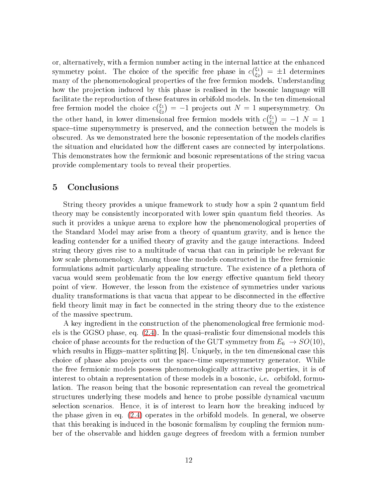or, alternatively, with a fermion number acting in the internal lattice at the enhanced symmetry point. The choice of the specific free phase in  $c_{\xi_0}^{(\xi_1)}$  $\binom{\xi_1}{\xi_2} = \pm 1$  determines many of the phenomenological properties of the free fermion models. Understanding how the projection induced by this phase is realised in the bosonic language will facilitate the reproduction of these features in orbifold models. In the ten dimensional free fermion model the choice  $c\binom{\xi_1}{\xi_2}$  $\binom{\xi_1}{\xi_2} = -1$  projects out  $N = 1$  supersymmetry. On the other hand, in lower dimensional free fermion models with  $c_{\xi_0}^{(\xi_1)}$  $\binom{\xi_1}{\xi_2} = -1 \; N = 1$ space-time supersymmetry is preserved, and the connection between the models is obscured. As we demonstrated here the bosonic representation of the models clarifies the situation and elucidated how the different cases are connected by interpolations. This demonstrates how the fermionic and bosonic representations of the string vacua provide omplementary tools to reveal their properties.

#### <span id="page-12-0"></span>5 Con
lusions

String theory provides a unique framework to study how a spin 2 quantum field theory may be consistently incorporated with lower spin quantum field theories. As such it provides a unique arena to explore how the phenomenological properties of the Standard Model may arise from a theory of quantum gravity, and is hen
e the leading contender for a unified theory of gravity and the gauge interactions. Indeed string theory gives rise to a multitude of vacua that can in principle be relevant for low scale phenomenology. Among those the models constructed in the free fermionic formulations admit particularly appealing structure. The existence of a plethora of vacua would seem problematic from the low energy effective quantum field theory point of view. However, the lesson from the existen
e of symmetries under various duality transformations is that vacua that appear to be disconnected in the effective field theory limit may in fact be connected in the string theory due to the existence of the massive spe
trum.

A key ingredient in the construction of the phenomenological free fermionic models is the GGSO phase, eq.  $(2.4)$ . In the quasi-realistic four dimensional models this choice of phase accounts for the reduction of the GUT symmetry from  $E_6 \rightarrow SO(10)$ , which results in Higgs-matter splitting [8]. Uniquely, in the ten dimensional case this choice of phase also projects out the space-time supersymmetry generator. While the free fermioni models possess phenomenologi
ally attra
tive properties, it is of interest to obtain a representation of these models in a bosonic, *i.e.* orbifold, formulation. The reason being that the bosonic representation can reveal the geometrical structures underlying these models and hence to probe possible dynamical vacuum sele
tion s
enarios. Hen
e, it is of interest to learn how the breaking indu
ed by the phase given in eq. [\(2.4\)](#page-4-0) operates in the orbifold models. In general, we observe that this breaking is indu
ed in the bosoni formalism by oupling the fermion number of the observable and hidden gauge degrees of freedom with a fermion number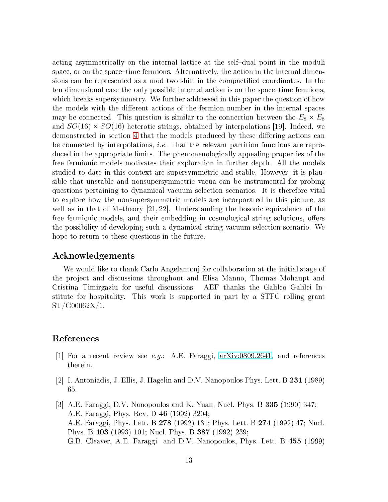acting asymmetrically on the internal lattice at the self-dual point in the moduli space, or on the space-time fermions. Alternatively, the action in the internal dimensions can be represented as a mod two shift in the compactified coordinates. In the ten dimensional case the only possible internal action is on the space-time fermions, which breaks supersymmetry. We further addressed in this paper the question of how the models with the different actions of the fermion number in the internal spaces may be connected. This question is similar to the connection between the  $E_8 \times E_8$ and  $SO(16) \times SO(16)$  heterotic strings, obtained by interpolations [19]. Indeed, we demonstrated in section [4](#page-9-0) that the models produced by these differing actions can be connected by interpolations, *i.e.* that the relevant partition functions are reproduced in the appropriate limits. The phenomenologically appealing properties of the free fermioni models motivates their exploration in further depth. All the models studied to date in this ontext are supersymmetri and stable. However, it is plausible that unstable and nonsupersymmetric vacua can be instrumental for probing questions pertaining to dynami
al va
uum sele
tion s
enarios. It is therefore vital to explore how the nonsupersymmetric models are incorporated in this picture, as well as in that of M-theory  $[21, 22]$ . Understanding the bosonic equivalence of the free fermionic models, and their embedding in cosmological string solutions, offers the possibility of developing su
h a dynami
al string va
uum sele
tion s
enario. We hope to return to these questions in the future.

## A
knowledgements

We would like to thank Carlo Angelanton for collaboration at the initial stage of the proje
t and dis
ussions throughout and Elisa Manno, Thomas Mohaupt and Cristina Timirgaziu for useful dis
ussions. AEF thanks the Galileo Galilei Institute for hospitality. This work is supported in part by a STFC rolling grant ST/G00062X/1.

#### Referen
es

- [1] For a recent review see e.g.: A.E. Faraggi,  $arXiv:0809.2641$ , and references therein.
- [2] I. Antoniadis, J. Ellis, J. Hagelin and D.V. Nanopoulos Phys. Lett. B  $231$  (1989) 65.
- [3] A.E. Faraggi, D.V. Nanopoulos and K. Yuan, Nucl. Phys. B  $335$  (1990) 347; A.E. Faraggi, Phys. Rev. D <sup>46</sup> (1992) 3204; A.E. Faraggi, Phys. Lett. B <sup>278</sup> (1992) 131; Phys. Lett. B <sup>274</sup> (1992) 47; Nu
l. Phys. B <sup>403</sup> (1993) 101; Nu
l. Phys. B <sup>387</sup> (1992) 239; G.B. Cleaver, A.E. Faraggi and D.V. Nanopoulos, Phys. Lett. B <sup>455</sup> (1999)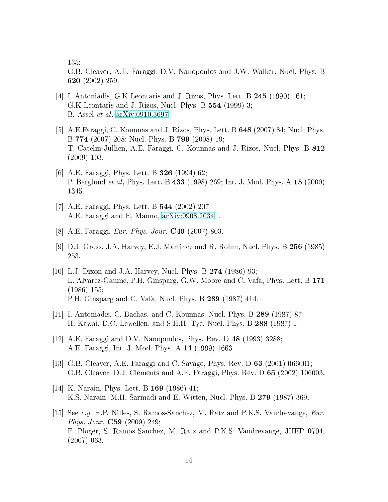135;

G.B. Cleaver, A.E. Faraggi, D.V. Nanopoulos and J.W. Walker, Nu
l. Phys. B <sup>620</sup> (2002) 259.

- [4] I. Antoniadis, G.K Leontaris and J. Rizos, Phys. Lett. B  $245$  (1990) 161; G.K Leontaris and J. Rizos, Nucl. Phys. B 554 (1999) 3; B. Assel *et al*, [arXiv:0910.3697.](http://arxiv.org/abs/0910.3697)
- [5] A.E.Faraggi, C. Kounnas and J. Rizos, Phys. Lett. B  $648$  (2007) 84; Nucl. Phys. B <sup>774</sup> (2007) 208; Nu
l. Phys. B <sup>799</sup> (2008) 19; T. Catelin-Jullien, A.E. Faraggi, C. Kounnas and J. Rizos, Nu
l. Phys. B <sup>812</sup> (2009) 103.
- [6] A.E. Faraggi, Phys. Lett. B  $326$  (1994) 62; P. Berglund *et al*, Phys. Lett. B 433 (1998) 269; Int. J. Mod. Phys. A 15 (2000) 1345.
- [7] A.E. Faraggi, Phys. Lett. B  $544$  (2002) 207; A.E. Faraggi and E. Manno, [arXiv:0908.2034.](http://arxiv.org/abs/0908.2034) .
- [8] A.E. Faraggi, Eur. Phys. Jour.  $C49$  (2007) 803.
- [9] D.J. Gross, J.A. Harvey, E.J. Martinec and R. Rohm, Nucl. Phys. B  $256$  (1985) 253.
- [10] L.J. Dixon and J.A. Harvey, Nucl. Phys. B  $274$  (1986) 93; L. Alvarez-Gaume, P.H. Ginsparg, G.W. Moore and C. Vafa, Phys. Lett. B <sup>171</sup> (1986) 155; P.H. Ginsparg and C. Vafa, Nu
l. Phys. B <sup>289</sup> (1987) 414.
- [11] I. Antoniadis, C. Bachas, and C. Kounnas, Nucl. Phys. B  $289$  (1987) 87; H. Kawai, D.C. Lewellen, and S.H.H. Tye, Nu
l. Phys. B <sup>288</sup> (1987) 1.
- [12] A.E. Faraggi and D.V. Nanopoulos, Phys. Rev. D  $48$  (1993) 3288; A.E. Faraggi, Int. J. Mod. Phys. A <sup>14</sup> (1999) 1663.
- [13] G.B. Cleaver, A.E. Faraggi and C. Savage, Phys. Rev. D  $63$  (2001) 066001; G.B. Cleaver, D.J. Clements and A.E. Faraggi, Phys. Rev. D <sup>65</sup> (2002) 106003.
- [14] K. Narain, Phys. Lett. B  $169$  (1986) 41; K.S. Narain, M.H. Sarmadi and E. Witten, Nu
l. Phys. B <sup>279</sup> (1987) 369.
- [15] See e.g. H.P. Nilles, S. Ramos-Sanchez, M. Ratz and P.K.S. Vaudrevange, Eur. Phys. Jour. C59 (2009) 249; F. Ploger, S. Ramos-San
hez, M. Ratz and P.K.S. Vaudrevange, JHEP 0704, (2007) 063.